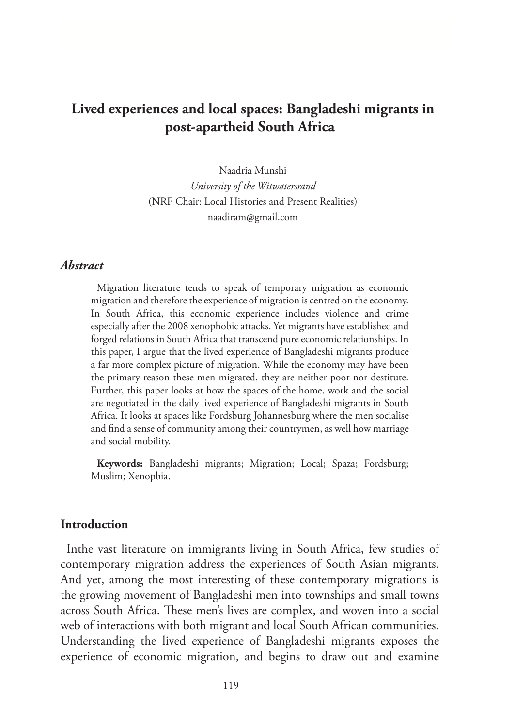# **Lived experiences and local spaces: Bangladeshi migrants in post-apartheid South Africa**

Naadria Munshi *University of the Witwatersrand* (NRF Chair: Local Histories and Present Realities) naadiram@gmail.com

#### *Abstract*

Migration literature tends to speak of temporary migration as economic migration and therefore the experience of migration is centred on the economy. In South Africa, this economic experience includes violence and crime especially after the 2008 xenophobic attacks. Yet migrants have established and forged relations in South Africa that transcend pure economic relationships. In this paper, I argue that the lived experience of Bangladeshi migrants produce a far more complex picture of migration. While the economy may have been the primary reason these men migrated, they are neither poor nor destitute. Further, this paper looks at how the spaces of the home, work and the social are negotiated in the daily lived experience of Bangladeshi migrants in South Africa. It looks at spaces like Fordsburg Johannesburg where the men socialise and find a sense of community among their countrymen, as well how marriage and social mobility.

**Keywords:** Bangladeshi migrants; Migration; Local; Spaza; Fordsburg; Muslim; Xenopbia.

#### **Introduction**

Inthe vast literature on immigrants living in South Africa, few studies of contemporary migration address the experiences of South Asian migrants. And yet, among the most interesting of these contemporary migrations is the growing movement of Bangladeshi men into townships and small towns across South Africa. These men's lives are complex, and woven into a social web of interactions with both migrant and local South African communities. Understanding the lived experience of Bangladeshi migrants exposes the experience of economic migration, and begins to draw out and examine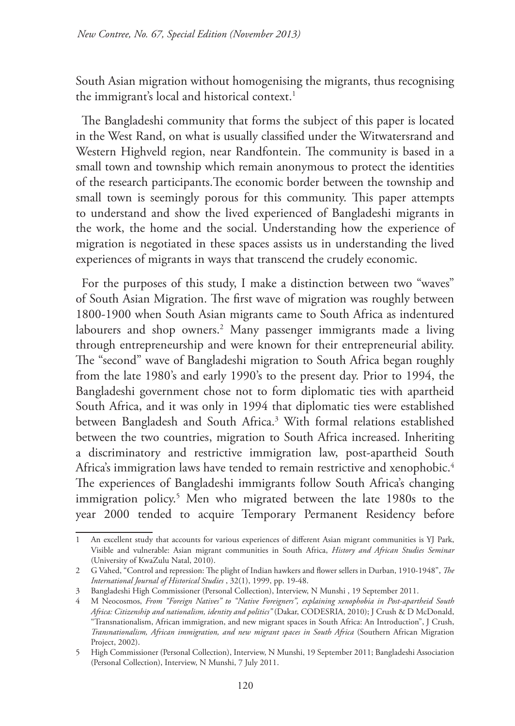South Asian migration without homogenising the migrants, thus recognising the immigrant's local and historical context.<sup>1</sup>

The Bangladeshi community that forms the subject of this paper is located in the West Rand, on what is usually classified under the Witwatersrand and Western Highveld region, near Randfontein. The community is based in a small town and township which remain anonymous to protect the identities of the research participants.The economic border between the township and small town is seemingly porous for this community. This paper attempts to understand and show the lived experienced of Bangladeshi migrants in the work, the home and the social. Understanding how the experience of migration is negotiated in these spaces assists us in understanding the lived experiences of migrants in ways that transcend the crudely economic.

For the purposes of this study, I make a distinction between two "waves" of South Asian Migration. The first wave of migration was roughly between 1800-1900 when South Asian migrants came to South Africa as indentured labourers and shop owners.<sup>2</sup> Many passenger immigrants made a living through entrepreneurship and were known for their entrepreneurial ability. The "second" wave of Bangladeshi migration to South Africa began roughly from the late 1980's and early 1990's to the present day. Prior to 1994, the Bangladeshi government chose not to form diplomatic ties with apartheid South Africa, and it was only in 1994 that diplomatic ties were established between Bangladesh and South Africa.3 With formal relations established between the two countries, migration to South Africa increased. Inheriting a discriminatory and restrictive immigration law, post-apartheid South Africa's immigration laws have tended to remain restrictive and xenophobic.<sup>4</sup> The experiences of Bangladeshi immigrants follow South Africa's changing immigration policy.<sup>5</sup> Men who migrated between the late 1980s to the year 2000 tended to acquire Temporary Permanent Residency before

<sup>1</sup> An excellent study that accounts for various experiences of different Asian migrant communities is YJ Park, Visible and vulnerable: Asian migrant communities in South Africa, *History and African Studies Seminar* (University of KwaZulu Natal, 2010).

<sup>2</sup> G Vahed, "Control and repression: The plight of Indian hawkers and flower sellers in Durban, 1910-1948", *The International Journal of Historical Studies* , 32(1), 1999, pp. 19-48.

<sup>3</sup> Bangladeshi High Commissioner (Personal Collection), Interview, N Munshi , 19 September 2011.

<sup>4</sup> M Neocosmos, *From "Foreign Natives" to "Native Foreigners", explaining xenophobia in Post-apartheid South Africa: Citizenship and nationalism, identity and politics"* (Dakar, CODESRIA, 2010); J Crush & D McDonald, "Transnationalism, African immigration, and new migrant spaces in South Africa: An Introduction", J Crush, *Transnationalism, African immigration, and new migrant spaces in South Africa* (Southern African Migration Project, 2002).

<sup>5</sup> High Commissioner (Personal Collection), Interview, N Munshi, 19 September 2011; Bangladeshi Association (Personal Collection), Interview, N Munshi, 7 July 2011.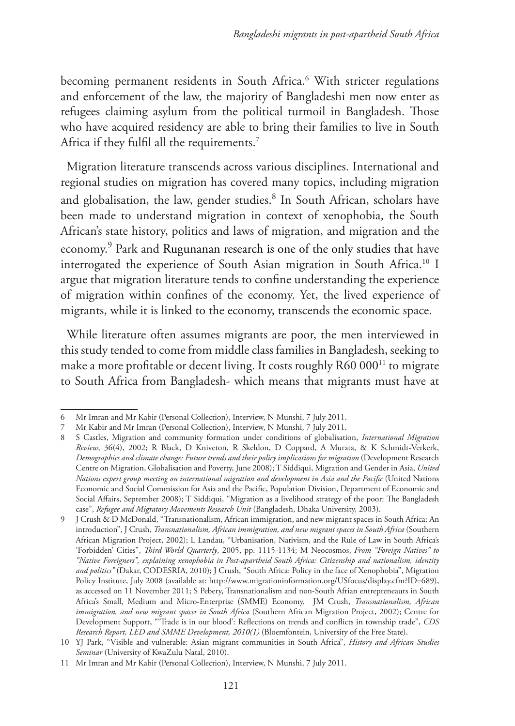becoming permanent residents in South Africa.6 With stricter regulations and enforcement of the law, the majority of Bangladeshi men now enter as refugees claiming asylum from the political turmoil in Bangladesh. Those who have acquired residency are able to bring their families to live in South Africa if they fulfil all the requirements.<sup>7</sup>

Migration literature transcends across various disciplines. International and regional studies on migration has covered many topics, including migration and globalisation, the law, gender studies.<sup>8</sup> In South African, scholars have been made to understand migration in context of xenophobia, the South African's state history, politics and laws of migration, and migration and the economy.<sup>9</sup> Park and Rugunanan research is one of the only studies that have interrogated the experience of South Asian migration in South Africa.10 I argue that migration literature tends to confine understanding the experience of migration within confines of the economy. Yet, the lived experience of migrants, while it is linked to the economy, transcends the economic space.

While literature often assumes migrants are poor, the men interviewed in this study tended to come from middle class families in Bangladesh, seeking to make a more profitable or decent living. It costs roughly  $R60 000$ <sup>11</sup> to migrate to South Africa from Bangladesh- which means that migrants must have at

<sup>6</sup> Mr Imran and Mr Kabir (Personal Collection), Interview, N Munshi, 7 July 2011.

<sup>7</sup> Mr Kabir and Mr Imran (Personal Collection), Interview, N Munshi, 7 July 2011.

<sup>8</sup> S Castles, Migration and community formation under conditions of globalisation, *International Migration Review*, 36(4), 2002; R Black, D Kniveton, R Skeldon, D Coppard, A Murata, & K Schmidt-Verkerk, *Demographics and climate change: Future trends and their policy implications for migration* (Development Research Centre on Migration, Globalisation and Poverty, June 2008); T Siddiqui, Migration and Gender in Asia, *United Nations expert group meeting on international migration and development in Asia and the Pacific* (United Nations Economic and Social Commission for Asia and the Pacific, Population Division, Department of Economic and Social Affairs, September 2008); T Siddiqui, "Migration as a livelihood strategy of the poor: The Bangladesh case", *Refugee and Migratory Movements Research Unit* (Bangladesh, Dhaka University, 2003).

<sup>9</sup> J Crush & D McDonald, "Transnationalism, African immigration, and new migrant spaces in South Africa: An introduction", J Crush, *Transnationalism, African immigration, and new migrant spaces in South Africa* (Southern African Migration Project, 2002); L Landau, "Urbanisation, Nativism, and the Rule of Law in South Africa's 'Forbidden' Cities", *Third World Quarterly*, 2005, pp. 1115-1134; M Neocosmos, *From "Foreign Natives" to "Native Foreigners", explaining xenophobia in Post-apartheid South Africa: Citizenship and nationalism, identity and politics"* (Dakar, CODESRIA, 2010); J Crush, "South Africa: Policy in the face of Xenophobia", Migration Policy Institute, July 2008 (available at: http://www.migrationinformation.org/USfocus/display.cfm?ID=689), as accessed on 11 November 2011; S Pebery, Transnationalism and non-South Afrian entrepreneaurs in South Africa's Small, Medium and Micro-Enterprise (SMME) Economy, JM Crush, *Transnationalism, African immigration, and new migrant spaces in South Africa* (Southern African Migration Project, 2002); Centre for Development Support, "'Trade is in our blood': Reflections on trends and conflicts in township trade", *CDS Research Report, LED and SMME Development, 2010(1)* (Bloemfontein, University of the Free State).

<sup>10</sup> YJ Park, "Visible and vulnerable: Asian migrant communities in South Africa", *History and African Studies Seminar* (University of KwaZulu Natal, 2010).

<sup>11</sup> Mr Imran and Mr Kabir (Personal Collection), Interview, N Munshi, 7 July 2011.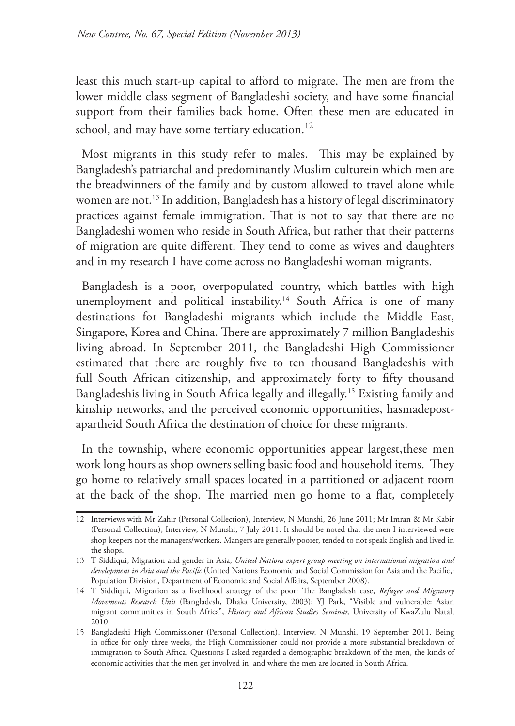least this much start-up capital to afford to migrate. The men are from the lower middle class segment of Bangladeshi society, and have some financial support from their families back home. Often these men are educated in school, and may have some tertiary education.<sup>12</sup>

Most migrants in this study refer to males. This may be explained by Bangladesh's patriarchal and predominantly Muslim culturein which men are the breadwinners of the family and by custom allowed to travel alone while women are not.<sup>13</sup> In addition, Bangladesh has a history of legal discriminatory practices against female immigration. That is not to say that there are no Bangladeshi women who reside in South Africa, but rather that their patterns of migration are quite different. They tend to come as wives and daughters and in my research I have come across no Bangladeshi woman migrants.

Bangladesh is a poor, overpopulated country, which battles with high unemployment and political instability.<sup>14</sup> South Africa is one of many destinations for Bangladeshi migrants which include the Middle East, Singapore, Korea and China. There are approximately 7 million Bangladeshis living abroad. In September 2011, the Bangladeshi High Commissioner estimated that there are roughly five to ten thousand Bangladeshis with full South African citizenship, and approximately forty to fifty thousand Bangladeshis living in South Africa legally and illegally.15 Existing family and kinship networks, and the perceived economic opportunities, hasmadepostapartheid South Africa the destination of choice for these migrants.

In the township, where economic opportunities appear largest,these men work long hours as shop owners selling basic food and household items. They go home to relatively small spaces located in a partitioned or adjacent room at the back of the shop. The married men go home to a flat, completely

<sup>12</sup> Interviews with Mr Zahir (Personal Collection), Interview, N Munshi, 26 June 2011; Mr Imran & Mr Kabir (Personal Collection), Interview, N Munshi, 7 July 2011. It should be noted that the men I interviewed were shop keepers not the managers/workers. Mangers are generally poorer, tended to not speak English and lived in the shops.

<sup>13</sup> T Siddiqui, Migration and gender in Asia, *United Nations expert group meeting on international migration and development in Asia and the Pacific* (United Nations Economic and Social Commission for Asia and the Pacific,: Population Division, Department of Economic and Social Affairs, September 2008).

<sup>14</sup> T Siddiqui, Migration as a livelihood strategy of the poor: The Bangladesh case, *Refugee and Migratory Movements Research Unit* (Bangladesh, Dhaka University, 2003); YJ Park, "Visible and vulnerable: Asian migrant communities in South Africa", *History and African Studies Seminar,* University of KwaZulu Natal, 2010.

<sup>15</sup> Bangladeshi High Commissioner (Personal Collection), Interview, N Munshi, 19 September 2011. Being in office for only three weeks, the High Commissioner could not provide a more substantial breakdown of immigration to South Africa. Questions I asked regarded a demographic breakdown of the men, the kinds of economic activities that the men get involved in, and where the men are located in South Africa.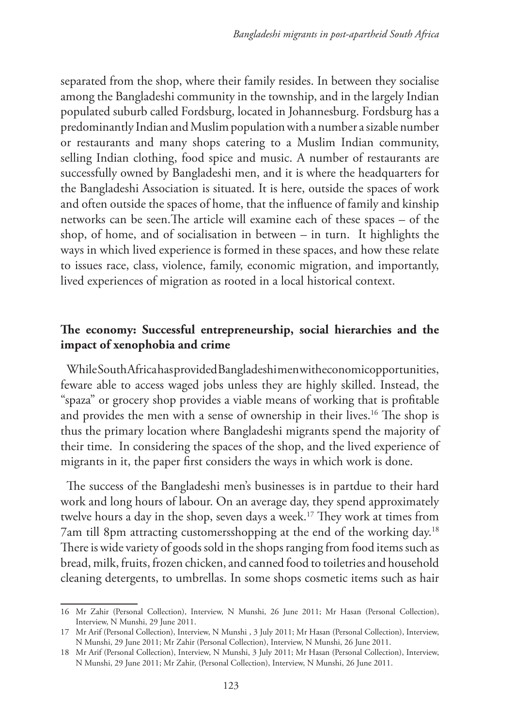separated from the shop, where their family resides. In between they socialise among the Bangladeshi community in the township, and in the largely Indian populated suburb called Fordsburg, located in Johannesburg. Fordsburg has a predominantly Indian and Muslim population with a number a sizable number or restaurants and many shops catering to a Muslim Indian community, selling Indian clothing, food spice and music. A number of restaurants are successfully owned by Bangladeshi men, and it is where the headquarters for the Bangladeshi Association is situated. It is here, outside the spaces of work and often outside the spaces of home, that the influence of family and kinship networks can be seen.The article will examine each of these spaces – of the shop, of home, and of socialisation in between – in turn. It highlights the ways in which lived experience is formed in these spaces, and how these relate to issues race, class, violence, family, economic migration, and importantly, lived experiences of migration as rooted in a local historical context.

# **The economy: Successful entrepreneurship, social hierarchies and the impact of xenophobia and crime**

While South Africa has provided Bangladeshi men witheconomicopportunities, feware able to access waged jobs unless they are highly skilled. Instead, the "spaza" or grocery shop provides a viable means of working that is profitable and provides the men with a sense of ownership in their lives.<sup>16</sup> The shop is thus the primary location where Bangladeshi migrants spend the majority of their time. In considering the spaces of the shop, and the lived experience of migrants in it, the paper first considers the ways in which work is done.

The success of the Bangladeshi men's businesses is in partdue to their hard work and long hours of labour. On an average day, they spend approximately twelve hours a day in the shop, seven days a week.<sup>17</sup> They work at times from 7am till 8pm attracting customersshopping at the end of the working day.18 There is wide variety of goods sold in the shops ranging from food items such as bread, milk, fruits, frozen chicken, and canned food to toiletries and household cleaning detergents, to umbrellas. In some shops cosmetic items such as hair

<sup>16</sup> Mr Zahir (Personal Collection), Interview, N Munshi, 26 June 2011; Mr Hasan (Personal Collection), Interview, N Munshi, 29 June 2011.

<sup>17</sup> Mr Arif (Personal Collection), Interview, N Munshi , 3 July 2011; Mr Hasan (Personal Collection), Interview, N Munshi, 29 June 2011; Mr Zahir (Personal Collection), Interview, N Munshi, 26 June 2011.

<sup>18</sup> Mr Arif (Personal Collection), Interview, N Munshi, 3 July 2011; Mr Hasan (Personal Collection), Interview, N Munshi, 29 June 2011; Mr Zahir, (Personal Collection), Interview, N Munshi, 26 June 2011.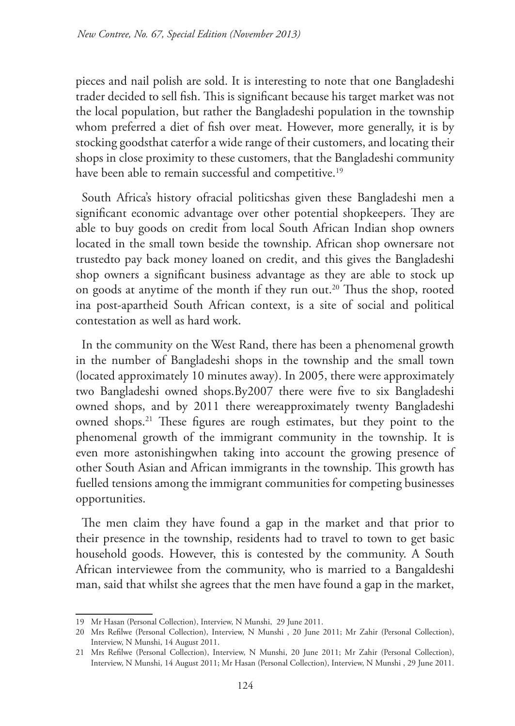pieces and nail polish are sold. It is interesting to note that one Bangladeshi trader decided to sell fish. This is significant because his target market was not the local population, but rather the Bangladeshi population in the township whom preferred a diet of fish over meat. However, more generally, it is by stocking goodsthat caterfor a wide range of their customers, and locating their shops in close proximity to these customers, that the Bangladeshi community have been able to remain successful and competitive.<sup>19</sup>

South Africa's history ofracial politicshas given these Bangladeshi men a significant economic advantage over other potential shopkeepers. They are able to buy goods on credit from local South African Indian shop owners located in the small town beside the township. African shop ownersare not trustedto pay back money loaned on credit, and this gives the Bangladeshi shop owners a significant business advantage as they are able to stock up on goods at anytime of the month if they run out.<sup>20</sup> Thus the shop, rooted ina post-apartheid South African context, is a site of social and political contestation as well as hard work.

In the community on the West Rand, there has been a phenomenal growth in the number of Bangladeshi shops in the township and the small town (located approximately 10 minutes away). In 2005, there were approximately two Bangladeshi owned shops.By2007 there were five to six Bangladeshi owned shops, and by 2011 there wereapproximately twenty Bangladeshi owned shops.21 These figures are rough estimates, but they point to the phenomenal growth of the immigrant community in the township. It is even more astonishingwhen taking into account the growing presence of other South Asian and African immigrants in the township. This growth has fuelled tensions among the immigrant communities for competing businesses opportunities.

The men claim they have found a gap in the market and that prior to their presence in the township, residents had to travel to town to get basic household goods. However, this is contested by the community. A South African interviewee from the community, who is married to a Bangaldeshi man, said that whilst she agrees that the men have found a gap in the market,

<sup>19</sup> Mr Hasan (Personal Collection), Interview, N Munshi, 29 June 2011.

<sup>20</sup> Mrs Refilwe (Personal Collection), Interview, N Munshi , 20 June 2011; Mr Zahir (Personal Collection), Interview, N Munshi, 14 August 2011.

<sup>21</sup> Mrs Refilwe (Personal Collection), Interview, N Munshi, 20 June 2011; Mr Zahir (Personal Collection), Interview, N Munshi, 14 August 2011; Mr Hasan (Personal Collection), Interview, N Munshi , 29 June 2011.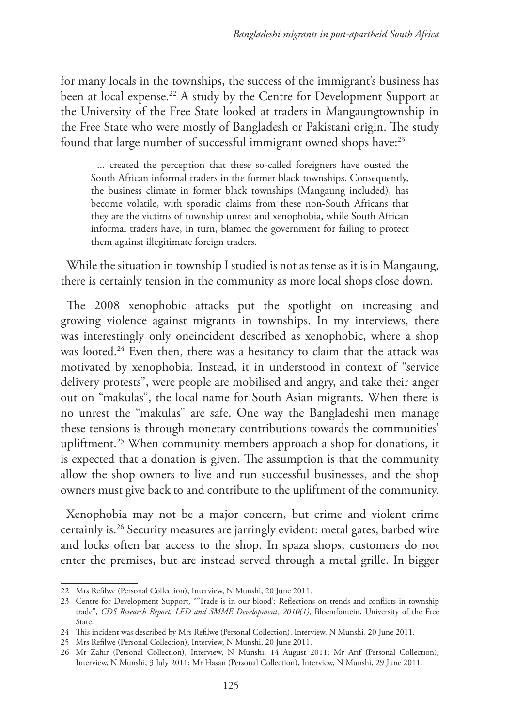for many locals in the townships, the success of the immigrant's business has been at local expense.<sup>22</sup> A study by the Centre for Development Support at the University of the Free State looked at traders in Mangaungtownship in the Free State who were mostly of Bangladesh or Pakistani origin. The study found that large number of successful immigrant owned shops have:<sup>23</sup>

... created the perception that these so-called foreigners have ousted the South African informal traders in the former black townships. Consequently, the business climate in former black townships (Mangaung included), has become volatile, with sporadic claims from these non-South Africans that they are the victims of township unrest and xenophobia, while South African informal traders have, in turn, blamed the government for failing to protect them against illegitimate foreign traders.

While the situation in township I studied is not as tense as it is in Mangaung, there is certainly tension in the community as more local shops close down.

The 2008 xenophobic attacks put the spotlight on increasing and growing violence against migrants in townships. In my interviews, there was interestingly only oneincident described as xenophobic, where a shop was looted.<sup>24</sup> Even then, there was a hesitancy to claim that the attack was motivated by xenophobia. Instead, it in understood in context of "service delivery protests", were people are mobilised and angry, and take their anger out on "makulas", the local name for South Asian migrants. When there is no unrest the "makulas" are safe. One way the Bangladeshi men manage these tensions is through monetary contributions towards the communities' upliftment.<sup>25</sup> When community members approach a shop for donations, it is expected that a donation is given. The assumption is that the community allow the shop owners to live and run successful businesses, and the shop owners must give back to and contribute to the upliftment of the community.

Xenophobia may not be a major concern, but crime and violent crime certainly is.26 Security measures are jarringly evident: metal gates, barbed wire and locks often bar access to the shop. In spaza shops, customers do not enter the premises, but are instead served through a metal grille. In bigger

<sup>22</sup> Mrs Refilwe (Personal Collection), Interview, N Munshi, 20 June 2011.

<sup>23</sup> Centre for Development Support, "'Trade is in our blood': Reflections on trends and conflicts in township trade", *CDS Research Report, LED and SMME Development, 2010(1),* Bloemfontein, University of the Free State.

<sup>24</sup> This incident was described by Mrs Refilwe (Personal Collection), Interview, N Munshi, 20 June 2011.

<sup>25</sup> Mrs Refilwe (Personal Collection), Interview, N Munshi, 20 June 2011.

<sup>26</sup> Mr Zahir (Personal Collection), Interview, N Munshi, 14 August 2011; Mr Arif (Personal Collection), Interview, N Munshi, 3 July 2011; Mr Hasan (Personal Collection), Interview, N Munshi, 29 June 2011.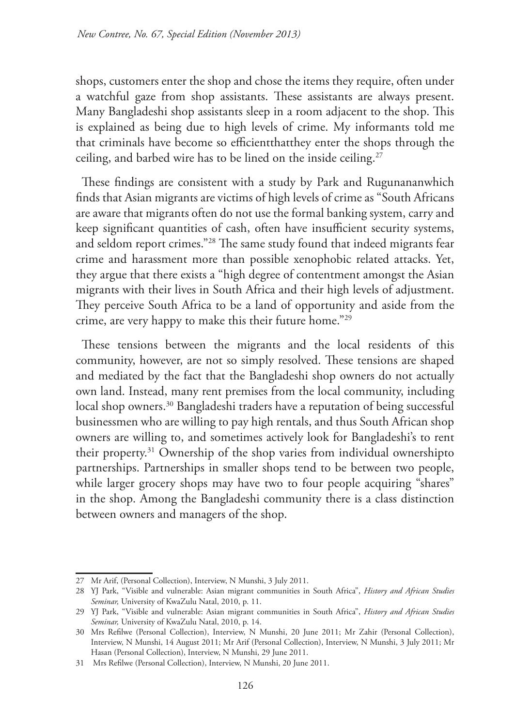shops, customers enter the shop and chose the items they require, often under a watchful gaze from shop assistants. These assistants are always present. Many Bangladeshi shop assistants sleep in a room adjacent to the shop. This is explained as being due to high levels of crime. My informants told me that criminals have become so efficientthatthey enter the shops through the ceiling, and barbed wire has to be lined on the inside ceiling.<sup>27</sup>

These findings are consistent with a study by Park and Rugunananwhich finds that Asian migrants are victims of high levels of crime as "South Africans are aware that migrants often do not use the formal banking system, carry and keep significant quantities of cash, often have insufficient security systems, and seldom report crimes."28 The same study found that indeed migrants fear crime and harassment more than possible xenophobic related attacks. Yet, they argue that there exists a "high degree of contentment amongst the Asian migrants with their lives in South Africa and their high levels of adjustment. They perceive South Africa to be a land of opportunity and aside from the crime, are very happy to make this their future home."29

These tensions between the migrants and the local residents of this community, however, are not so simply resolved. These tensions are shaped and mediated by the fact that the Bangladeshi shop owners do not actually own land. Instead, many rent premises from the local community, including local shop owners.<sup>30</sup> Bangladeshi traders have a reputation of being successful businessmen who are willing to pay high rentals, and thus South African shop owners are willing to, and sometimes actively look for Bangladeshi's to rent their property.31 Ownership of the shop varies from individual ownershipto partnerships. Partnerships in smaller shops tend to be between two people, while larger grocery shops may have two to four people acquiring "shares" in the shop. Among the Bangladeshi community there is a class distinction between owners and managers of the shop.

<sup>27</sup> Mr Arif, (Personal Collection), Interview, N Munshi, 3 July 2011.

<sup>28</sup> YJ Park, "Visible and vulnerable: Asian migrant communities in South Africa", *History and African Studies Seminar,* University of KwaZulu Natal, 2010, p. 11.

<sup>29</sup> YJ Park, "Visible and vulnerable: Asian migrant communities in South Africa", *History and African Studies Seminar,* University of KwaZulu Natal, 2010, p. 14.

<sup>30</sup> Mrs Refilwe (Personal Collection), Interview, N Munshi, 20 June 2011; Mr Zahir (Personal Collection), Interview, N Munshi, 14 August 2011; Mr Arif (Personal Collection), Interview, N Munshi, 3 July 2011; Mr Hasan (Personal Collection), Interview, N Munshi, 29 June 2011.

<sup>31</sup> Mrs Refilwe (Personal Collection), Interview, N Munshi, 20 June 2011.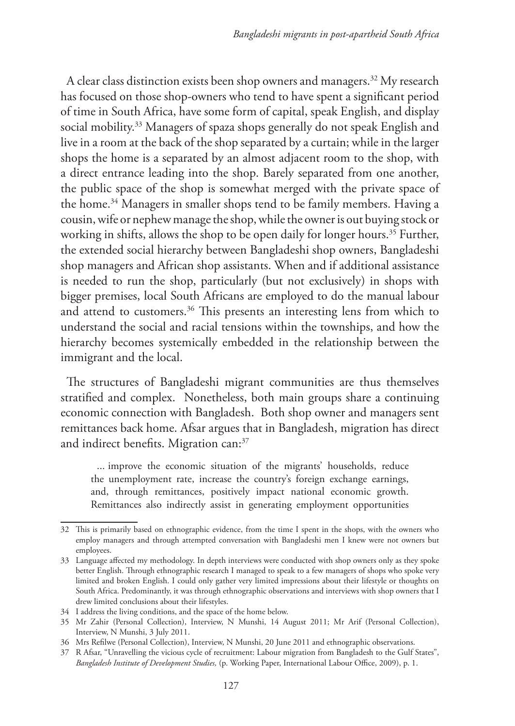A clear class distinction exists been shop owners and managers.32 My research has focused on those shop-owners who tend to have spent a significant period of time in South Africa, have some form of capital, speak English, and display social mobility.<sup>33</sup> Managers of spaza shops generally do not speak English and live in a room at the back of the shop separated by a curtain; while in the larger shops the home is a separated by an almost adjacent room to the shop, with a direct entrance leading into the shop. Barely separated from one another, the public space of the shop is somewhat merged with the private space of the home.34 Managers in smaller shops tend to be family members. Having a cousin, wife or nephew manage the shop, while the owner is out buying stock or working in shifts, allows the shop to be open daily for longer hours.<sup>35</sup> Further, the extended social hierarchy between Bangladeshi shop owners, Bangladeshi shop managers and African shop assistants. When and if additional assistance is needed to run the shop, particularly (but not exclusively) in shops with bigger premises, local South Africans are employed to do the manual labour and attend to customers.<sup>36</sup> This presents an interesting lens from which to understand the social and racial tensions within the townships, and how the hierarchy becomes systemically embedded in the relationship between the immigrant and the local.

The structures of Bangladeshi migrant communities are thus themselves stratified and complex. Nonetheless, both main groups share a continuing economic connection with Bangladesh. Both shop owner and managers sent remittances back home. Afsar argues that in Bangladesh, migration has direct and indirect benefits. Migration can:<sup>37</sup>

... improve the economic situation of the migrants' households, reduce the unemployment rate, increase the country's foreign exchange earnings, and, through remittances, positively impact national economic growth. Remittances also indirectly assist in generating employment opportunities

<sup>32</sup> This is primarily based on ethnographic evidence, from the time I spent in the shops, with the owners who employ managers and through attempted conversation with Bangladeshi men I knew were not owners but employees.

<sup>33</sup> Language affected my methodology. In depth interviews were conducted with shop owners only as they spoke better English. Through ethnographic research I managed to speak to a few managers of shops who spoke very limited and broken English. I could only gather very limited impressions about their lifestyle or thoughts on South Africa. Predominantly, it was through ethnographic observations and interviews with shop owners that I drew limited conclusions about their lifestyles.

<sup>34</sup> I address the living conditions, and the space of the home below.

<sup>35</sup> Mr Zahir (Personal Collection), Interview, N Munshi, 14 August 2011; Mr Arif (Personal Collection), Interview, N Munshi, 3 July 2011.

<sup>36</sup> Mrs Refilwe (Personal Collection), Interview, N Munshi, 20 June 2011 and ethnographic observations.

<sup>37</sup> R Afsar, "Unravelling the vicious cycle of recruitment: Labour migration from Bangladesh to the Gulf States", *Bangladesh Institute of Development Studies,* (p. Working Paper, International Labour Office, 2009), p. 1.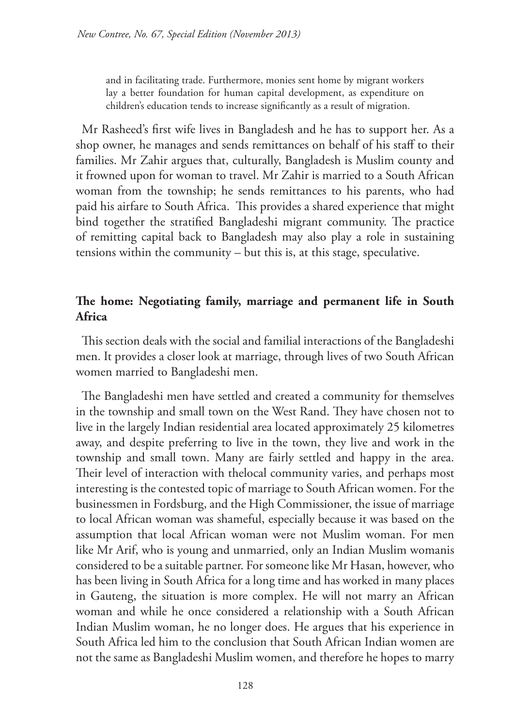and in facilitating trade. Furthermore, monies sent home by migrant workers lay a better foundation for human capital development, as expenditure on children's education tends to increase significantly as a result of migration.

Mr Rasheed's first wife lives in Bangladesh and he has to support her. As a shop owner, he manages and sends remittances on behalf of his staff to their families. Mr Zahir argues that, culturally, Bangladesh is Muslim county and it frowned upon for woman to travel. Mr Zahir is married to a South African woman from the township; he sends remittances to his parents, who had paid his airfare to South Africa. This provides a shared experience that might bind together the stratified Bangladeshi migrant community. The practice of remitting capital back to Bangladesh may also play a role in sustaining tensions within the community – but this is, at this stage, speculative.

# **The home: Negotiating family, marriage and permanent life in South Africa**

This section deals with the social and familial interactions of the Bangladeshi men. It provides a closer look at marriage, through lives of two South African women married to Bangladeshi men.

The Bangladeshi men have settled and created a community for themselves in the township and small town on the West Rand. They have chosen not to live in the largely Indian residential area located approximately 25 kilometres away, and despite preferring to live in the town, they live and work in the township and small town. Many are fairly settled and happy in the area. Their level of interaction with thelocal community varies, and perhaps most interesting is the contested topic of marriage to South African women. For the businessmen in Fordsburg, and the High Commissioner, the issue of marriage to local African woman was shameful, especially because it was based on the assumption that local African woman were not Muslim woman. For men like Mr Arif, who is young and unmarried, only an Indian Muslim womanis considered to be a suitable partner. For someone like Mr Hasan, however, who has been living in South Africa for a long time and has worked in many places in Gauteng, the situation is more complex. He will not marry an African woman and while he once considered a relationship with a South African Indian Muslim woman, he no longer does. He argues that his experience in South Africa led him to the conclusion that South African Indian women are not the same as Bangladeshi Muslim women, and therefore he hopes to marry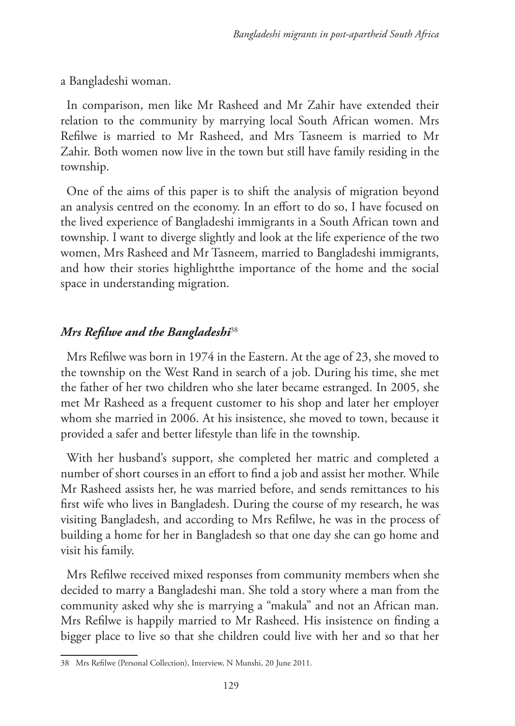a Bangladeshi woman.

In comparison, men like Mr Rasheed and Mr Zahir have extended their relation to the community by marrying local South African women. Mrs Refilwe is married to Mr Rasheed, and Mrs Tasneem is married to Mr Zahir. Both women now live in the town but still have family residing in the township.

One of the aims of this paper is to shift the analysis of migration beyond an analysis centred on the economy. In an effort to do so, I have focused on the lived experience of Bangladeshi immigrants in a South African town and township. I want to diverge slightly and look at the life experience of the two women, Mrs Rasheed and Mr Tasneem, married to Bangladeshi immigrants, and how their stories highlightthe importance of the home and the social space in understanding migration.

## *Mrs Refilwe and the Bangladeshi*<sup>38</sup>

Mrs Refilwe was born in 1974 in the Eastern. At the age of 23, she moved to the township on the West Rand in search of a job. During his time, she met the father of her two children who she later became estranged. In 2005, she met Mr Rasheed as a frequent customer to his shop and later her employer whom she married in 2006. At his insistence, she moved to town, because it provided a safer and better lifestyle than life in the township.

With her husband's support, she completed her matric and completed a number of short courses in an effort to find a job and assist her mother. While Mr Rasheed assists her, he was married before, and sends remittances to his first wife who lives in Bangladesh. During the course of my research, he was visiting Bangladesh, and according to Mrs Refilwe, he was in the process of building a home for her in Bangladesh so that one day she can go home and visit his family.

Mrs Refilwe received mixed responses from community members when she decided to marry a Bangladeshi man. She told a story where a man from the community asked why she is marrying a "makula" and not an African man. Mrs Refilwe is happily married to Mr Rasheed. His insistence on finding a bigger place to live so that she children could live with her and so that her

<sup>38</sup> Mrs Refilwe (Personal Collection), Interview, N Munshi, 20 June 2011.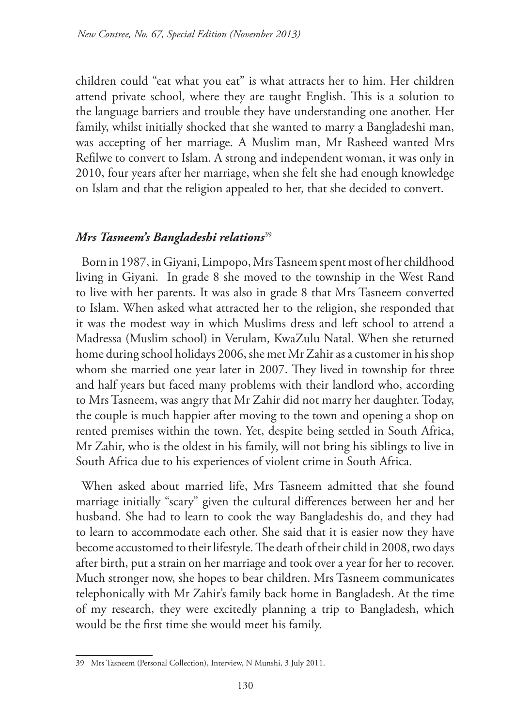children could "eat what you eat" is what attracts her to him. Her children attend private school, where they are taught English. This is a solution to the language barriers and trouble they have understanding one another. Her family, whilst initially shocked that she wanted to marry a Bangladeshi man, was accepting of her marriage. A Muslim man, Mr Rasheed wanted Mrs Refilwe to convert to Islam. A strong and independent woman, it was only in 2010, four years after her marriage, when she felt she had enough knowledge on Islam and that the religion appealed to her, that she decided to convert.

### *Mrs Tasneem's Bangladeshi relations*<sup>39</sup>

Born in 1987, in Giyani, Limpopo, Mrs Tasneem spent most of her childhood living in Giyani. In grade 8 she moved to the township in the West Rand to live with her parents. It was also in grade 8 that Mrs Tasneem converted to Islam. When asked what attracted her to the religion, she responded that it was the modest way in which Muslims dress and left school to attend a Madressa (Muslim school) in Verulam, KwaZulu Natal. When she returned home during school holidays 2006, she met Mr Zahir as a customer in his shop whom she married one year later in 2007. They lived in township for three and half years but faced many problems with their landlord who, according to Mrs Tasneem, was angry that Mr Zahir did not marry her daughter. Today, the couple is much happier after moving to the town and opening a shop on rented premises within the town. Yet, despite being settled in South Africa, Mr Zahir, who is the oldest in his family, will not bring his siblings to live in South Africa due to his experiences of violent crime in South Africa.

When asked about married life, Mrs Tasneem admitted that she found marriage initially "scary" given the cultural differences between her and her husband. She had to learn to cook the way Bangladeshis do, and they had to learn to accommodate each other. She said that it is easier now they have become accustomed to their lifestyle. The death of their child in 2008, two days after birth, put a strain on her marriage and took over a year for her to recover. Much stronger now, she hopes to bear children. Mrs Tasneem communicates telephonically with Mr Zahir's family back home in Bangladesh. At the time of my research, they were excitedly planning a trip to Bangladesh, which would be the first time she would meet his family.

<sup>39</sup> Mrs Tasneem (Personal Collection), Interview, N Munshi, 3 July 2011.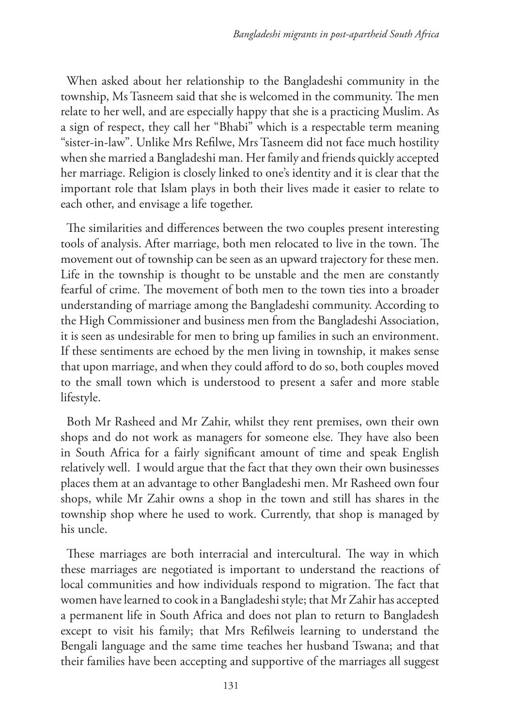When asked about her relationship to the Bangladeshi community in the township, Ms Tasneem said that she is welcomed in the community. The men relate to her well, and are especially happy that she is a practicing Muslim. As a sign of respect, they call her "Bhabi" which is a respectable term meaning "sister-in-law". Unlike Mrs Refilwe, Mrs Tasneem did not face much hostility when she married a Bangladeshi man. Her family and friends quickly accepted her marriage. Religion is closely linked to one's identity and it is clear that the important role that Islam plays in both their lives made it easier to relate to each other, and envisage a life together.

The similarities and differences between the two couples present interesting tools of analysis. After marriage, both men relocated to live in the town. The movement out of township can be seen as an upward trajectory for these men. Life in the township is thought to be unstable and the men are constantly fearful of crime. The movement of both men to the town ties into a broader understanding of marriage among the Bangladeshi community. According to the High Commissioner and business men from the Bangladeshi Association, it is seen as undesirable for men to bring up families in such an environment. If these sentiments are echoed by the men living in township, it makes sense that upon marriage, and when they could afford to do so, both couples moved to the small town which is understood to present a safer and more stable lifestyle.

Both Mr Rasheed and Mr Zahir, whilst they rent premises, own their own shops and do not work as managers for someone else. They have also been in South Africa for a fairly significant amount of time and speak English relatively well. I would argue that the fact that they own their own businesses places them at an advantage to other Bangladeshi men. Mr Rasheed own four shops, while Mr Zahir owns a shop in the town and still has shares in the township shop where he used to work. Currently, that shop is managed by his uncle.

These marriages are both interracial and intercultural. The way in which these marriages are negotiated is important to understand the reactions of local communities and how individuals respond to migration. The fact that women have learned to cook in a Bangladeshi style; that Mr Zahir has accepted a permanent life in South Africa and does not plan to return to Bangladesh except to visit his family; that Mrs Refilweis learning to understand the Bengali language and the same time teaches her husband Tswana; and that their families have been accepting and supportive of the marriages all suggest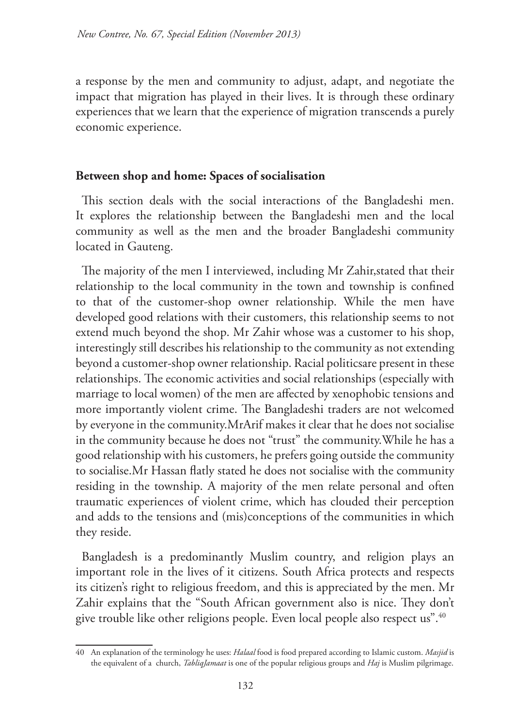a response by the men and community to adjust, adapt, and negotiate the impact that migration has played in their lives. It is through these ordinary experiences that we learn that the experience of migration transcends a purely economic experience.

### **Between shop and home: Spaces of socialisation**

This section deals with the social interactions of the Bangladeshi men. It explores the relationship between the Bangladeshi men and the local community as well as the men and the broader Bangladeshi community located in Gauteng.

The majority of the men I interviewed, including Mr Zahir,stated that their relationship to the local community in the town and township is confined to that of the customer-shop owner relationship. While the men have developed good relations with their customers, this relationship seems to not extend much beyond the shop. Mr Zahir whose was a customer to his shop, interestingly still describes his relationship to the community as not extending beyond a customer-shop owner relationship. Racial politicsare present in these relationships. The economic activities and social relationships (especially with marriage to local women) of the men are affected by xenophobic tensions and more importantly violent crime. The Bangladeshi traders are not welcomed by everyone in the community.MrArif makes it clear that he does not socialise in the community because he does not "trust" the community.While he has a good relationship with his customers, he prefers going outside the community to socialise.Mr Hassan flatly stated he does not socialise with the community residing in the township. A majority of the men relate personal and often traumatic experiences of violent crime, which has clouded their perception and adds to the tensions and (mis)conceptions of the communities in which they reside.

Bangladesh is a predominantly Muslim country, and religion plays an important role in the lives of it citizens. South Africa protects and respects its citizen's right to religious freedom, and this is appreciated by the men. Mr Zahir explains that the "South African government also is nice. They don't give trouble like other religions people. Even local people also respect us".<sup>40</sup>

<sup>40</sup> An explanation of the terminology he uses: *Halaal* food is food prepared according to Islamic custom. *Masjid* is the equivalent of a church, *TabliqJamaat* is one of the popular religious groups and *Haj* is Muslim pilgrimage.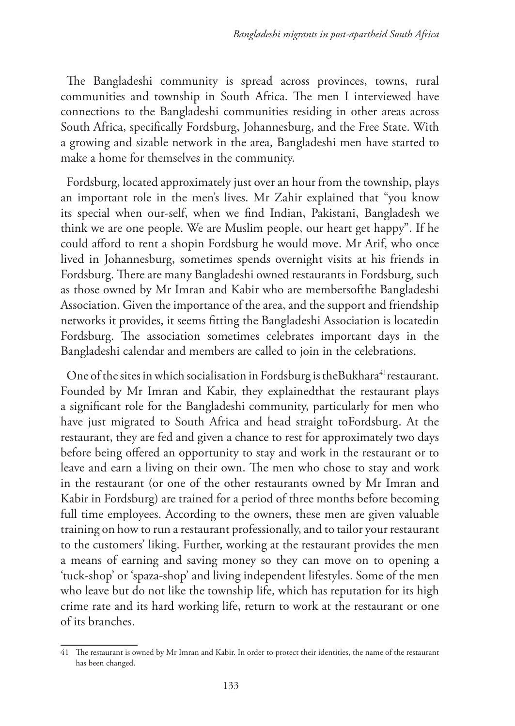The Bangladeshi community is spread across provinces, towns, rural communities and township in South Africa. The men I interviewed have connections to the Bangladeshi communities residing in other areas across South Africa, specifically Fordsburg, Johannesburg, and the Free State. With a growing and sizable network in the area, Bangladeshi men have started to make a home for themselves in the community.

Fordsburg, located approximately just over an hour from the township, plays an important role in the men's lives. Mr Zahir explained that "you know its special when our-self, when we find Indian, Pakistani, Bangladesh we think we are one people. We are Muslim people, our heart get happy". If he could afford to rent a shopin Fordsburg he would move. Mr Arif, who once lived in Johannesburg, sometimes spends overnight visits at his friends in Fordsburg. There are many Bangladeshi owned restaurants in Fordsburg, such as those owned by Mr Imran and Kabir who are membersofthe Bangladeshi Association. Given the importance of the area, and the support and friendship networks it provides, it seems fitting the Bangladeshi Association is locatedin Fordsburg. The association sometimes celebrates important days in the Bangladeshi calendar and members are called to join in the celebrations.

One of the sites in which socialisation in Fordsburg is theBukhara<sup>41</sup> restaurant. Founded by Mr Imran and Kabir, they explainedthat the restaurant plays a significant role for the Bangladeshi community, particularly for men who have just migrated to South Africa and head straight toFordsburg. At the restaurant, they are fed and given a chance to rest for approximately two days before being offered an opportunity to stay and work in the restaurant or to leave and earn a living on their own. The men who chose to stay and work in the restaurant (or one of the other restaurants owned by Mr Imran and Kabir in Fordsburg) are trained for a period of three months before becoming full time employees. According to the owners, these men are given valuable training on how to run a restaurant professionally, and to tailor your restaurant to the customers' liking. Further, working at the restaurant provides the men a means of earning and saving money so they can move on to opening a 'tuck-shop' or 'spaza-shop' and living independent lifestyles. Some of the men who leave but do not like the township life, which has reputation for its high crime rate and its hard working life, return to work at the restaurant or one of its branches.

<sup>41</sup> The restaurant is owned by Mr Imran and Kabir. In order to protect their identities, the name of the restaurant has been changed.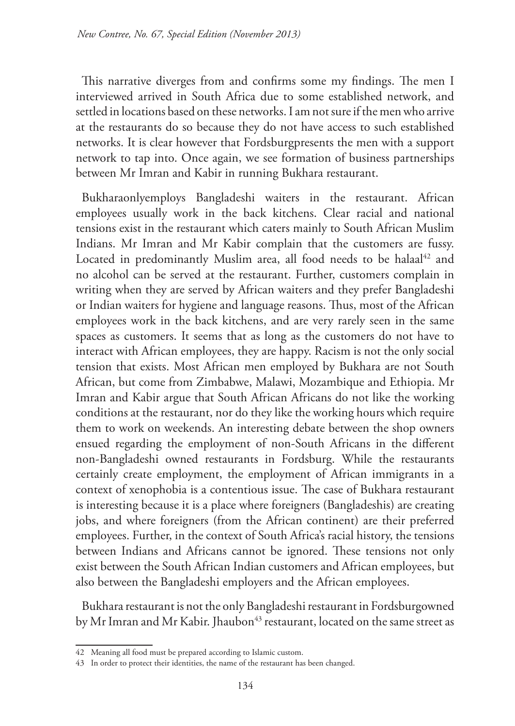This narrative diverges from and confirms some my findings. The men I interviewed arrived in South Africa due to some established network, and settled in locations based on these networks. I am not sure if the men who arrive at the restaurants do so because they do not have access to such established networks. It is clear however that Fordsburgpresents the men with a support network to tap into. Once again, we see formation of business partnerships between Mr Imran and Kabir in running Bukhara restaurant.

Bukharaonlyemploys Bangladeshi waiters in the restaurant. African employees usually work in the back kitchens. Clear racial and national tensions exist in the restaurant which caters mainly to South African Muslim Indians. Mr Imran and Mr Kabir complain that the customers are fussy. Located in predominantly Muslim area, all food needs to be halaal<sup>42</sup> and no alcohol can be served at the restaurant. Further, customers complain in writing when they are served by African waiters and they prefer Bangladeshi or Indian waiters for hygiene and language reasons. Thus, most of the African employees work in the back kitchens, and are very rarely seen in the same spaces as customers. It seems that as long as the customers do not have to interact with African employees, they are happy. Racism is not the only social tension that exists. Most African men employed by Bukhara are not South African, but come from Zimbabwe, Malawi, Mozambique and Ethiopia. Mr Imran and Kabir argue that South African Africans do not like the working conditions at the restaurant, nor do they like the working hours which require them to work on weekends. An interesting debate between the shop owners ensued regarding the employment of non-South Africans in the different non-Bangladeshi owned restaurants in Fordsburg. While the restaurants certainly create employment, the employment of African immigrants in a context of xenophobia is a contentious issue. The case of Bukhara restaurant is interesting because it is a place where foreigners (Bangladeshis) are creating jobs, and where foreigners (from the African continent) are their preferred employees. Further, in the context of South Africa's racial history, the tensions between Indians and Africans cannot be ignored. These tensions not only exist between the South African Indian customers and African employees, but also between the Bangladeshi employers and the African employees.

Bukhara restaurant is not the only Bangladeshi restaurant in Fordsburgowned by Mr Imran and Mr Kabir. Jhaubon<sup>43</sup> restaurant, located on the same street as

<sup>42</sup> Meaning all food must be prepared according to Islamic custom.

<sup>43</sup> In order to protect their identities, the name of the restaurant has been changed.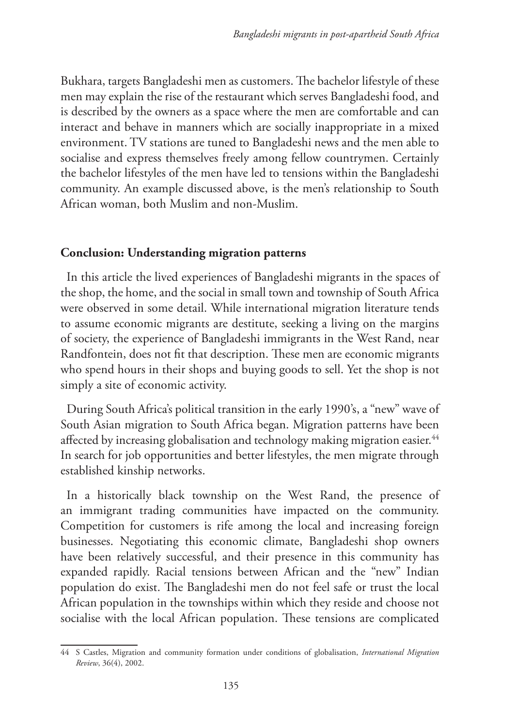Bukhara, targets Bangladeshi men as customers. The bachelor lifestyle of these men may explain the rise of the restaurant which serves Bangladeshi food, and is described by the owners as a space where the men are comfortable and can interact and behave in manners which are socially inappropriate in a mixed environment. TV stations are tuned to Bangladeshi news and the men able to socialise and express themselves freely among fellow countrymen. Certainly the bachelor lifestyles of the men have led to tensions within the Bangladeshi community. An example discussed above, is the men's relationship to South African woman, both Muslim and non-Muslim.

#### **Conclusion: Understanding migration patterns**

In this article the lived experiences of Bangladeshi migrants in the spaces of the shop, the home, and the social in small town and township of South Africa were observed in some detail. While international migration literature tends to assume economic migrants are destitute, seeking a living on the margins of society, the experience of Bangladeshi immigrants in the West Rand, near Randfontein, does not fit that description. These men are economic migrants who spend hours in their shops and buying goods to sell. Yet the shop is not simply a site of economic activity.

During South Africa's political transition in the early 1990's, a "new" wave of South Asian migration to South Africa began. Migration patterns have been affected by increasing globalisation and technology making migration easier.<sup>44</sup> In search for job opportunities and better lifestyles, the men migrate through established kinship networks.

In a historically black township on the West Rand, the presence of an immigrant trading communities have impacted on the community. Competition for customers is rife among the local and increasing foreign businesses. Negotiating this economic climate, Bangladeshi shop owners have been relatively successful, and their presence in this community has expanded rapidly. Racial tensions between African and the "new" Indian population do exist. The Bangladeshi men do not feel safe or trust the local African population in the townships within which they reside and choose not socialise with the local African population. These tensions are complicated

<sup>44</sup> S Castles, Migration and community formation under conditions of globalisation, *International Migration Review*, 36(4), 2002.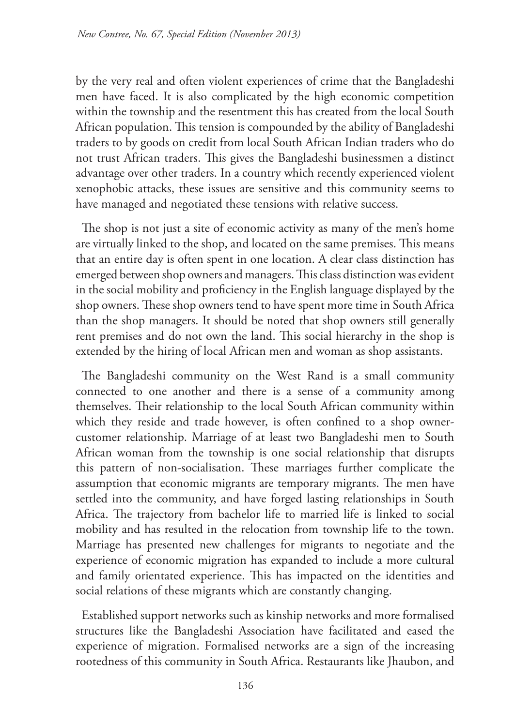by the very real and often violent experiences of crime that the Bangladeshi men have faced. It is also complicated by the high economic competition within the township and the resentment this has created from the local South African population. This tension is compounded by the ability of Bangladeshi traders to by goods on credit from local South African Indian traders who do not trust African traders. This gives the Bangladeshi businessmen a distinct advantage over other traders. In a country which recently experienced violent xenophobic attacks, these issues are sensitive and this community seems to have managed and negotiated these tensions with relative success.

The shop is not just a site of economic activity as many of the men's home are virtually linked to the shop, and located on the same premises. This means that an entire day is often spent in one location. A clear class distinction has emerged between shop owners and managers. This class distinction was evident in the social mobility and proficiency in the English language displayed by the shop owners. These shop owners tend to have spent more time in South Africa than the shop managers. It should be noted that shop owners still generally rent premises and do not own the land. This social hierarchy in the shop is extended by the hiring of local African men and woman as shop assistants.

The Bangladeshi community on the West Rand is a small community connected to one another and there is a sense of a community among themselves. Their relationship to the local South African community within which they reside and trade however, is often confined to a shop ownercustomer relationship. Marriage of at least two Bangladeshi men to South African woman from the township is one social relationship that disrupts this pattern of non-socialisation. These marriages further complicate the assumption that economic migrants are temporary migrants. The men have settled into the community, and have forged lasting relationships in South Africa. The trajectory from bachelor life to married life is linked to social mobility and has resulted in the relocation from township life to the town. Marriage has presented new challenges for migrants to negotiate and the experience of economic migration has expanded to include a more cultural and family orientated experience. This has impacted on the identities and social relations of these migrants which are constantly changing.

Established support networks such as kinship networks and more formalised structures like the Bangladeshi Association have facilitated and eased the experience of migration. Formalised networks are a sign of the increasing rootedness of this community in South Africa. Restaurants like Jhaubon, and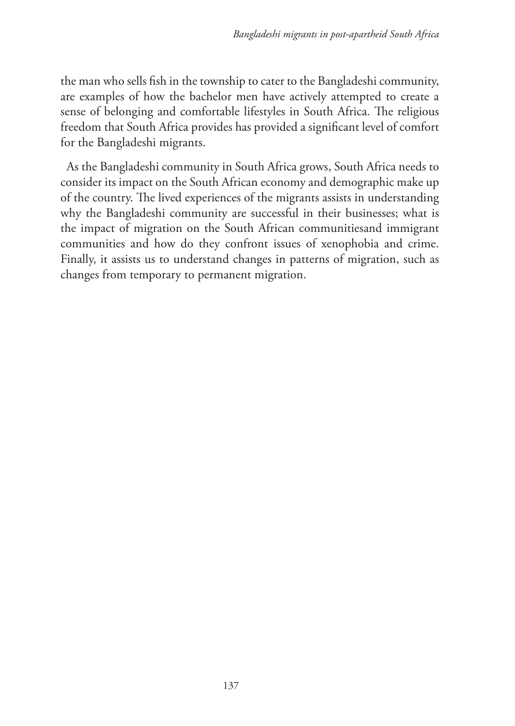the man who sells fish in the township to cater to the Bangladeshi community, are examples of how the bachelor men have actively attempted to create a sense of belonging and comfortable lifestyles in South Africa. The religious freedom that South Africa provides has provided a significant level of comfort for the Bangladeshi migrants.

As the Bangladeshi community in South Africa grows, South Africa needs to consider its impact on the South African economy and demographic make up of the country. The lived experiences of the migrants assists in understanding why the Bangladeshi community are successful in their businesses; what is the impact of migration on the South African communitiesand immigrant communities and how do they confront issues of xenophobia and crime. Finally, it assists us to understand changes in patterns of migration, such as changes from temporary to permanent migration.